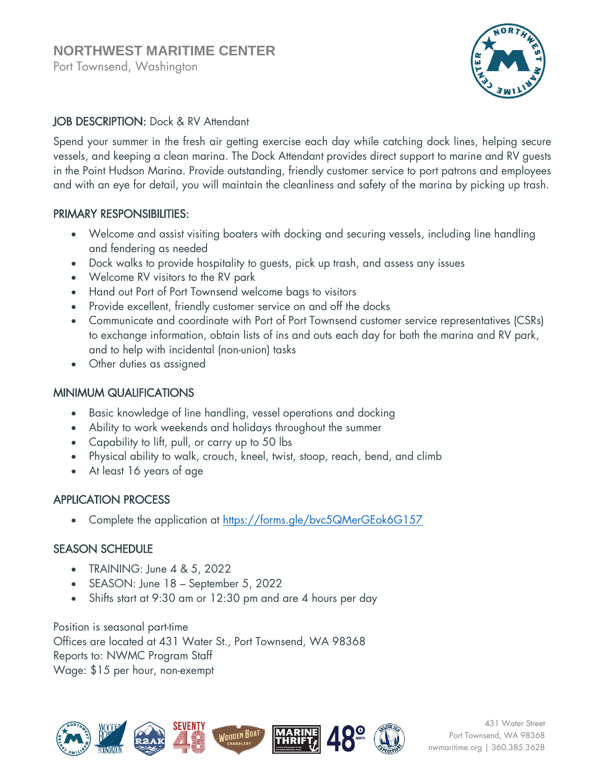Port Townsend, Washington



## JOB DESCRIPTION: Dock & RV Attendant

Spend your summer in the fresh air getting exercise each day while catching dock lines, helping secure vessels, and keeping a clean marina. The Dock Attendant provides direct support to marine and RV guests in the Point Hudson Marina. Provide outstanding, friendly customer service to port patrons and employees and with an eye for detail, you will maintain the cleanliness and safety of the marina by picking up trash.

#### PRIMARY RESPONSIBILITIES:

- Welcome and assist visiting boaters with docking and securing vessels, including line handling and fendering as needed
- Dock walks to provide hospitality to guests, pick up trash, and assess any issues
- Welcome RV visitors to the RV park
- Hand out Port of Port Townsend welcome bags to visitors
- Provide excellent, friendly customer service on and off the docks
- Communicate and coordinate with Port of Port Townsend customer service representatives (CSRs) to exchange information, obtain lists of ins and outs each day for both the marina and RV park, and to help with incidental (non-union) tasks
- Other duties as assigned

### MINIMUM QUALIFICATIONS

- Basic knowledge of line handling, vessel operations and docking
- Ability to work weekends and holidays throughout the summer
- Capability to lift, pull, or carry up to 50 lbs
- Physical ability to walk, crouch, kneel, twist, stoop, reach, bend, and climb
- At least 16 years of age

### APPLICATION PROCESS

Complete the application at<https://forms.gle/bvc5QMerGEok6G157>

### SEASON SCHEDULE

- TRAINING: June 4 & 5, 2022
- SEASON: June 18 September 5, 2022
- Shifts start at 9:30 am or 12:30 pm and are 4 hours per day

Position is seasonal part-time Offices are located at 431 Water St., Port Townsend, WA 98368 Reports to: NWMC Program Staff Wage: \$15 per hour, non-exempt



431 Water Street Port Townsend, WA 98368 nwmaritime.org | 360.385.3628